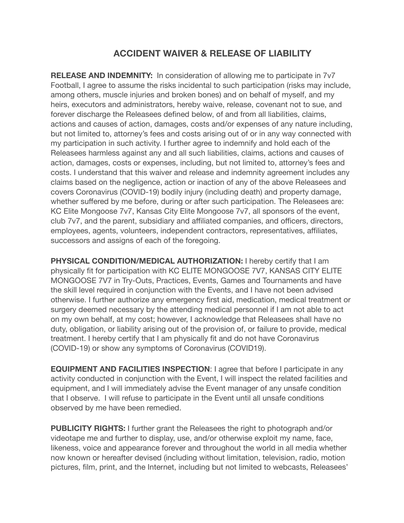## **ACCIDENT WAIVER & RELEASE OF LIABILITY**

**RELEASE AND INDEMNITY:** In consideration of allowing me to participate in 7y7 Football, I agree to assume the risks incidental to such participation (risks may include, among others, muscle injuries and broken bones) and on behalf of myself, and my heirs, executors and administrators, hereby waive, release, covenant not to sue, and forever discharge the Releasees defined below, of and from all liabilities, claims, actions and causes of action, damages, costs and/or expenses of any nature including, but not limited to, attorney's fees and costs arising out of or in any way connected with my participation in such activity. I further agree to indemnify and hold each of the Releasees harmless against any and all such liabilities, claims, actions and causes of action, damages, costs or expenses, including, but not limited to, attorney's fees and costs. I understand that this waiver and release and indemnity agreement includes any claims based on the negligence, action or inaction of any of the above Releasees and covers Coronavirus (COVID-19) bodily injury (including death) and property damage, whether suffered by me before, during or after such participation. The Releasees are: KC Elite Mongoose 7v7, Kansas City Elite Mongoose 7v7, all sponsors of the event, club 7v7, and the parent, subsidiary and affiliated companies, and officers, directors, employees, agents, volunteers, independent contractors, representatives, affiliates, successors and assigns of each of the foregoing.

**PHYSICAL CONDITION/MEDICAL AUTHORIZATION:** I hereby certify that I am physically fit for participation with KC ELITE MONGOOSE 7V7, KANSAS CITY ELITE MONGOOSE 7V7 in Try-Outs, Practices, Events, Games and Tournaments and have the skill level required in conjunction with the Events, and I have not been advised otherwise. I further authorize any emergency first aid, medication, medical treatment or surgery deemed necessary by the attending medical personnel if I am not able to act on my own behalf, at my cost; however, I acknowledge that Releasees shall have no duty, obligation, or liability arising out of the provision of, or failure to provide, medical treatment. I hereby certify that I am physically fit and do not have Coronavirus (COVID-19) or show any symptoms of Coronavirus (COVID19).

**EQUIPMENT AND FACILITIES INSPECTION**: I agree that before I participate in any activity conducted in conjunction with the Event, I will inspect the related facilities and equipment, and I will immediately advise the Event manager of any unsafe condition that I observe. I will refuse to participate in the Event until all unsafe conditions observed by me have been remedied.

**PUBLICITY RIGHTS:** I further grant the Releasees the right to photograph and/or videotape me and further to display, use, and/or otherwise exploit my name, face, likeness, voice and appearance forever and throughout the world in all media whether now known or hereafter devised (including without limitation, television, radio, motion pictures, film, print, and the Internet, including but not limited to webcasts, Releasees'